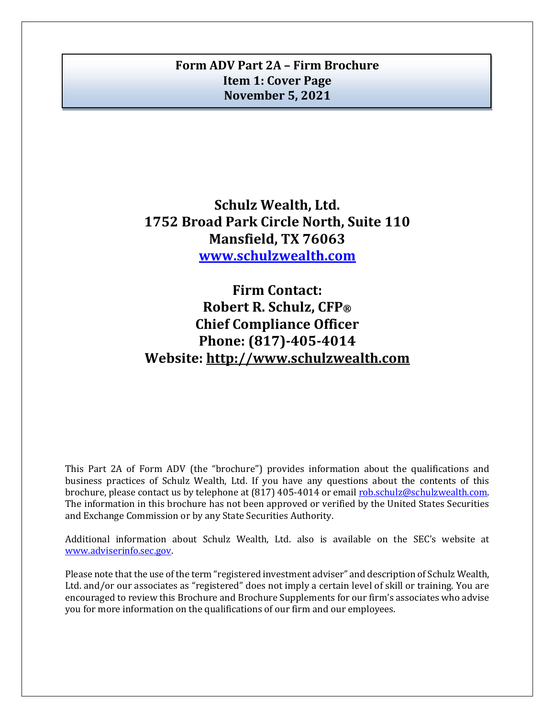# <span id="page-0-0"></span>**Form ADV Part 2A – Firm Brochure Item 1: Cover Page November 5, 2021**

**Schulz Wealth, Ltd. 1752 Broad Park Circle North, Suite 110 Mansfield, TX 76063 [www.schulzwealth.com](http://www.schulzwealth.com/)**

**Firm Contact: Robert R. Schulz, CFP® Chief Compliance Officer Phone: (817)-405-4014 Website: http://www.schulzwealth.com**

This Part 2A of Form ADV (the "brochure") provides information about the qualifications and business practices of Schulz Wealth, Ltd. If you have any questions about the contents of this brochure, please contact us by telephone at (817) 405-4014 or email [rob.schulz@schulzwealth.com.](mailto:rob.schulz@schulzwealth.com) The information in this brochure has not been approved or verified by the United States Securities and Exchange Commission or by any State Securities Authority.

Additional information about Schulz Wealth, Ltd. also is available on the SEC's website at [www.adviserinfo.sec.gov.](http://www.adviserinfo.sec.gov/)

Please note that the use of the term "registered investment adviser" and description of Schulz Wealth, Ltd. and/or our associates as "registered" does not imply a certain level of skill or training. You are encouraged to review this Brochure and Brochure Supplements for our firm's associates who advise you for more information on the qualifications of our firm and our employees.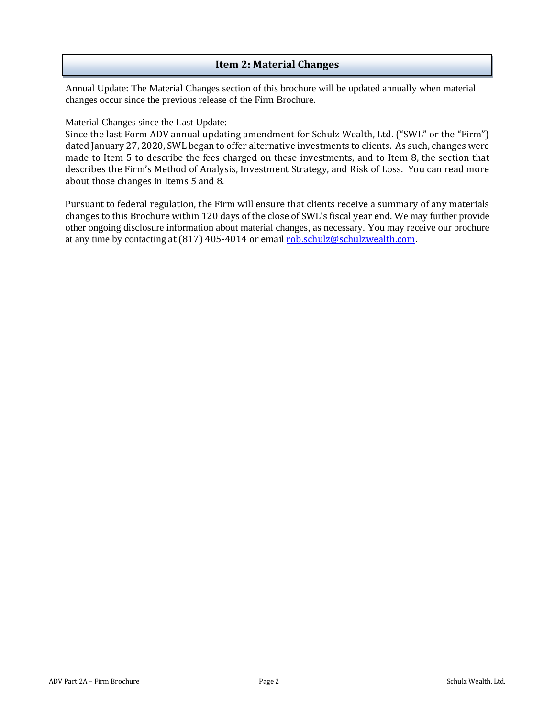### **Item 2: Material Changes**

<span id="page-1-0"></span>Annual Update: The Material Changes section of this brochure will be updated annually when material changes occur since the previous release of the Firm Brochure.

Material Changes since the Last Update:

Since the last Form ADV annual updating amendment for Schulz Wealth, Ltd. ("SWL" or the "Firm") dated January 27, 2020, SWL began to offer alternative investments to clients. As such, changes were made to Item 5 to describe the fees charged on these investments, and to Item 8, the section that describes the Firm's Method of Analysis, Investment Strategy, and Risk of Loss. You can read more about those changes in Items 5 and 8.

Pursuant to federal regulation, the Firm will ensure that clients receive a summary of any materials changes to this Brochure within 120 days of the close of SWL's fiscal year end. We may further provide other ongoing disclosure information about material changes, as necessary. You may receive our brochure at any time by contacting at (817) 405-4014 or email [rob.schulz@schulzwealth.com.](mailto:rob.schulz@schulzwealth.com)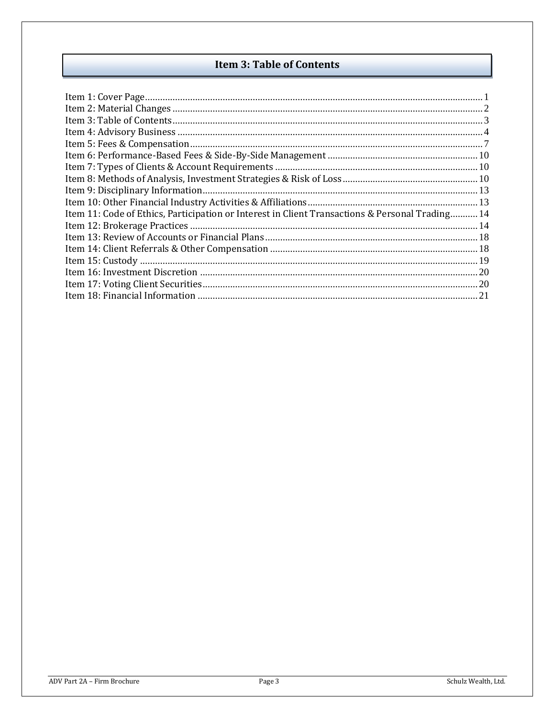# **Item 3: Table of Contents**

<span id="page-2-0"></span>

| Item 11: Code of Ethics, Participation or Interest in Client Transactions & Personal Trading 14 |  |
|-------------------------------------------------------------------------------------------------|--|
|                                                                                                 |  |
|                                                                                                 |  |
|                                                                                                 |  |
|                                                                                                 |  |
|                                                                                                 |  |
|                                                                                                 |  |
|                                                                                                 |  |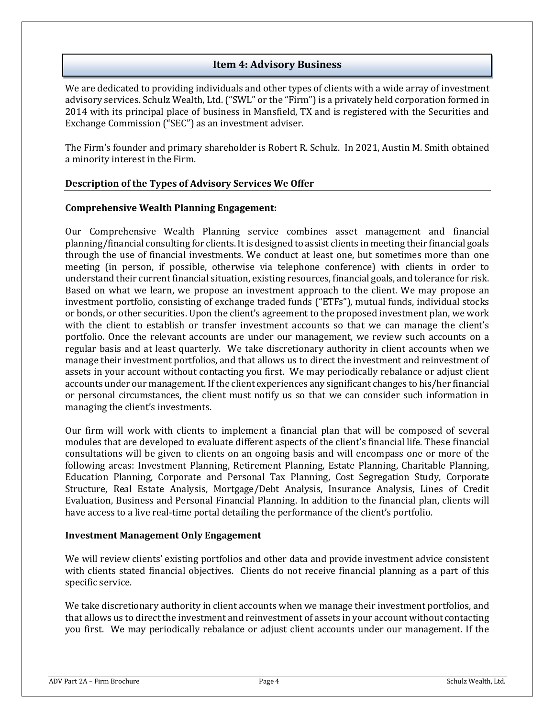### **Item 4: Advisory Business**

<span id="page-3-0"></span>We are dedicated to providing individuals and other types of clients with a wide array of investment advisory services. Schulz Wealth, Ltd. ("SWL" or the "Firm") is a privately held corporation formed in 2014 with its principal place of business in Mansfield, TX and is registered with the Securities and Exchange Commission ("SEC") as an investment adviser.

The Firm's founder and primary shareholder is Robert R. Schulz. In 2021, Austin M. Smith obtained a minority interest in the Firm.

#### **Description of the Types of Advisory Services We Offer**

#### **Comprehensive Wealth Planning Engagement:**

Our Comprehensive Wealth Planning service combines asset management and financial planning/financial consulting for clients. It is designed to assist clients in meeting their financial goals through the use of financial investments. We conduct at least one, but sometimes more than one meeting (in person, if possible, otherwise via telephone conference) with clients in order to understand their current financial situation, existing resources, financial goals, and tolerance for risk. Based on what we learn, we propose an investment approach to the client. We may propose an investment portfolio, consisting of exchange traded funds ("ETFs"), mutual funds, individual stocks or bonds, or other securities. Upon the client's agreement to the proposed investment plan, we work with the client to establish or transfer investment accounts so that we can manage the client's portfolio. Once the relevant accounts are under our management, we review such accounts on a regular basis and at least quarterly. We take discretionary authority in client accounts when we manage their investment portfolios, and that allows us to direct the investment and reinvestment of assets in your account without contacting you first. We may periodically rebalance or adjust client accounts under our management. If the client experiences any significant changes to his/her financial or personal circumstances, the client must notify us so that we can consider such information in managing the client's investments.

Our firm will work with clients to implement a financial plan that will be composed of several modules that are developed to evaluate different aspects of the client's financial life. These financial consultations will be given to clients on an ongoing basis and will encompass one or more of the following areas: Investment Planning, Retirement Planning, Estate Planning, Charitable Planning, Education Planning, Corporate and Personal Tax Planning, Cost Segregation Study, Corporate Structure, Real Estate Analysis, Mortgage/Debt Analysis, Insurance Analysis, Lines of Credit Evaluation, Business and Personal Financial Planning. In addition to the financial plan, clients will have access to a live real-time portal detailing the performance of the client's portfolio.

#### **Investment Management Only Engagement**

We will review clients' existing portfolios and other data and provide investment advice consistent with clients stated financial objectives. Clients do not receive financial planning as a part of this specific service.

We take discretionary authority in client accounts when we manage their investment portfolios, and that allows us to direct the investment and reinvestment of assets in your account without contacting you first. We may periodically rebalance or adjust client accounts under our management. If the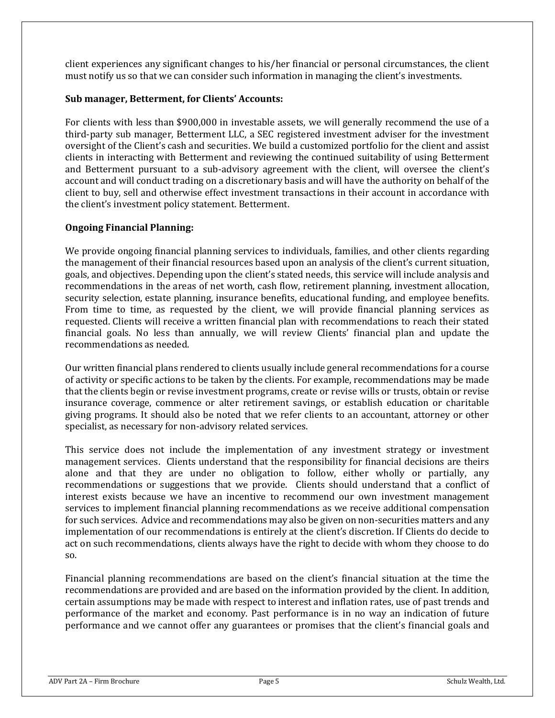client experiences any significant changes to his/her financial or personal circumstances, the client must notify us so that we can consider such information in managing the client's investments.

### **Sub manager, Betterment, for Clients' Accounts:**

For clients with less than \$900,000 in investable assets, we will generally recommend the use of a third-party sub manager, Betterment LLC, a SEC registered investment adviser for the investment oversight of the Client's cash and securities. We build a customized portfolio for the client and assist clients in interacting with Betterment and reviewing the continued suitability of using Betterment and Betterment pursuant to a sub-advisory agreement with the client, will oversee the client's account and will conduct trading on a discretionary basis and will have the authority on behalf of the client to buy, sell and otherwise effect investment transactions in their account in accordance with the client's investment policy statement. Betterment.

# **Ongoing Financial Planning:**

We provide ongoing financial planning services to individuals, families, and other clients regarding the management of their financial resources based upon an analysis of the client's current situation, goals, and objectives. Depending upon the client's stated needs, this service will include analysis and recommendations in the areas of net worth, cash flow, retirement planning, investment allocation, security selection, estate planning, insurance benefits, educational funding, and employee benefits. From time to time, as requested by the client, we will provide financial planning services as requested. Clients will receive a written financial plan with recommendations to reach their stated financial goals. No less than annually, we will review Clients' financial plan and update the recommendations as needed.

Our written financial plans rendered to clients usually include general recommendations for a course of activity or specific actions to be taken by the clients. For example, recommendations may be made that the clients begin or revise investment programs, create or revise wills or trusts, obtain or revise insurance coverage, commence or alter retirement savings, or establish education or charitable giving programs. It should also be noted that we refer clients to an accountant, attorney or other specialist, as necessary for non-advisory related services.

This service does not include the implementation of any investment strategy or investment management services. Clients understand that the responsibility for financial decisions are theirs alone and that they are under no obligation to follow, either wholly or partially, any recommendations or suggestions that we provide. Clients should understand that a conflict of interest exists because we have an incentive to recommend our own investment management services to implement financial planning recommendations as we receive additional compensation for such services. Advice and recommendations may also be given on non-securities matters and any implementation of our recommendations is entirely at the client's discretion. If Clients do decide to act on such recommendations, clients always have the right to decide with whom they choose to do so.

Financial planning recommendations are based on the client's financial situation at the time the recommendations are provided and are based on the information provided by the client. In addition, certain assumptions may be made with respect to interest and inflation rates, use of past trends and performance of the market and economy. Past performance is in no way an indication of future performance and we cannot offer any guarantees or promises that the client's financial goals and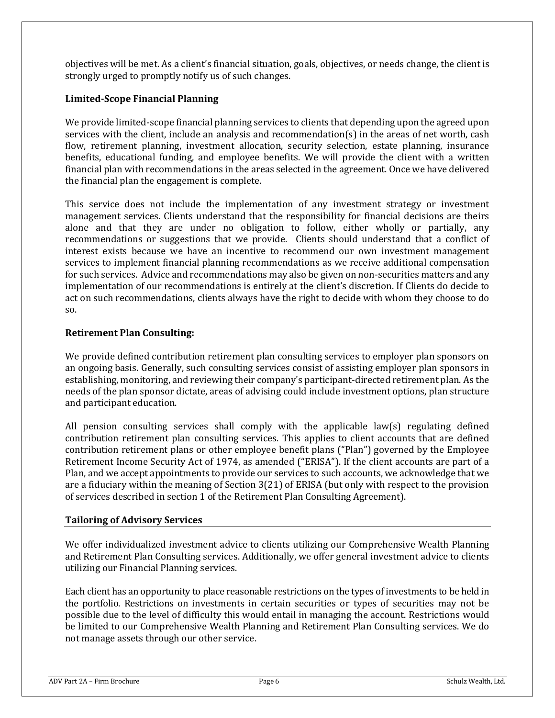objectives will be met. As a client's financial situation, goals, objectives, or needs change, the client is strongly urged to promptly notify us of such changes.

### **Limited-Scope Financial Planning**

We provide limited-scope financial planning services to clients that depending upon the agreed upon services with the client, include an analysis and recommendation(s) in the areas of net worth, cash flow, retirement planning, investment allocation, security selection, estate planning, insurance benefits, educational funding, and employee benefits. We will provide the client with a written financial plan with recommendations in the areas selected in the agreement. Once we have delivered the financial plan the engagement is complete.

This service does not include the implementation of any investment strategy or investment management services. Clients understand that the responsibility for financial decisions are theirs alone and that they are under no obligation to follow, either wholly or partially, any recommendations or suggestions that we provide. Clients should understand that a conflict of interest exists because we have an incentive to recommend our own investment management services to implement financial planning recommendations as we receive additional compensation for such services. Advice and recommendations may also be given on non-securities matters and any implementation of our recommendations is entirely at the client's discretion. If Clients do decide to act on such recommendations, clients always have the right to decide with whom they choose to do so.

#### **Retirement Plan Consulting:**

We provide defined contribution retirement plan consulting services to employer plan sponsors on an ongoing basis. Generally, such consulting services consist of assisting employer plan sponsors in establishing, monitoring, and reviewing their company's participant-directed retirement plan. As the needs of the plan sponsor dictate, areas of advising could include investment options, plan structure and participant education.

All pension consulting services shall comply with the applicable law(s) regulating defined contribution retirement plan consulting services. This applies to client accounts that are defined contribution retirement plans or other employee benefit plans ("Plan") governed by the Employee Retirement Income Security Act of 1974, as amended ("ERISA"). If the client accounts are part of a Plan, and we accept appointments to provide our services to such accounts, we acknowledge that we are a fiduciary within the meaning of Section 3(21) of ERISA (but only with respect to the provision of services described in section 1 of the Retirement Plan Consulting Agreement).

#### **Tailoring of Advisory Services**

We offer individualized investment advice to clients utilizing our Comprehensive Wealth Planning and Retirement Plan Consulting services. Additionally, we offer general investment advice to clients utilizing our Financial Planning services.

Each client has an opportunity to place reasonable restrictions on the types of investments to be held in the portfolio. Restrictions on investments in certain securities or types of securities may not be possible due to the level of difficulty this would entail in managing the account. Restrictions would be limited to our Comprehensive Wealth Planning and Retirement Plan Consulting services. We do not manage assets through our other service.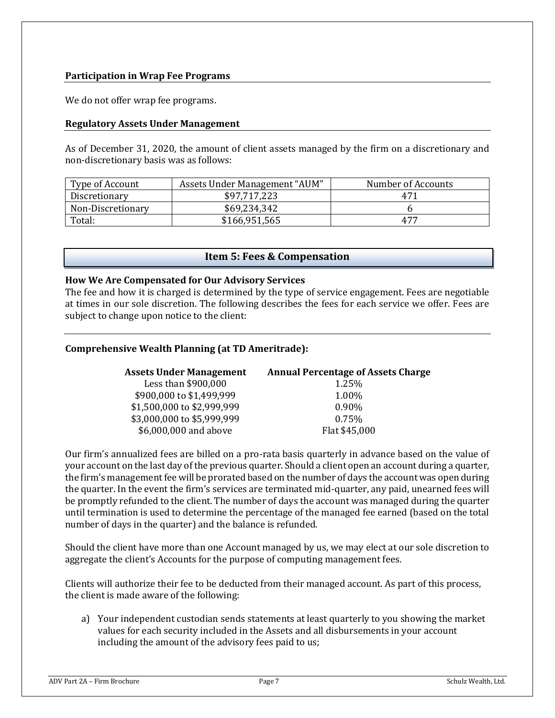### **Participation in Wrap Fee Programs**

We do not offer wrap fee programs.

#### **Regulatory Assets Under Management**

As of December 31, 2020, the amount of client assets managed by the firm on a discretionary and non-discretionary basis was as follows:

| Type of Account   | Assets Under Management "AUM" | Number of Accounts |
|-------------------|-------------------------------|--------------------|
| Discretionary     | \$97,717,223                  | 471                |
| Non-Discretionary | \$69,234,342                  |                    |
| Total:            | \$166,951,565                 | 477                |

#### **Item 5: Fees & Compensation**

#### <span id="page-6-0"></span>**How We Are Compensated for Our Advisory Services**

The fee and how it is charged is determined by the type of service engagement. Fees are negotiable at times in our sole discretion. The following describes the fees for each service we offer. Fees are subject to change upon notice to the client:

#### **Comprehensive Wealth Planning (at TD Ameritrade):**

| <b>Assets Under Management</b> | <b>Annual Percentage of Assets Charge</b> |
|--------------------------------|-------------------------------------------|
| Less than \$900,000            | 1.25%                                     |
| \$900,000 to \$1,499,999       | 1.00%                                     |
| \$1,500,000 to \$2,999,999     | $0.90\%$                                  |
| \$3,000,000 to \$5,999,999     | 0.75%                                     |
| \$6,000,000 and above          | Flat \$45,000                             |

Our firm's annualized fees are billed on a pro-rata basis quarterly in advance based on the value of your account on the last day of the previous quarter. Should a client open an account during a quarter, the firm's management fee will be prorated based on the number of days the account was open during the quarter. In the event the firm's services are terminated mid-quarter, any paid, unearned fees will be promptly refunded to the client. The number of days the account was managed during the quarter until termination is used to determine the percentage of the managed fee earned (based on the total number of days in the quarter) and the balance is refunded.

Should the client have more than one Account managed by us, we may elect at our sole discretion to aggregate the client's Accounts for the purpose of computing management fees.

Clients will authorize their fee to be deducted from their managed account. As part of this process, the client is made aware of the following:

a) Your independent custodian sends statements at least quarterly to you showing the market values for each security included in the Assets and all disbursements in your account including the amount of the advisory fees paid to us;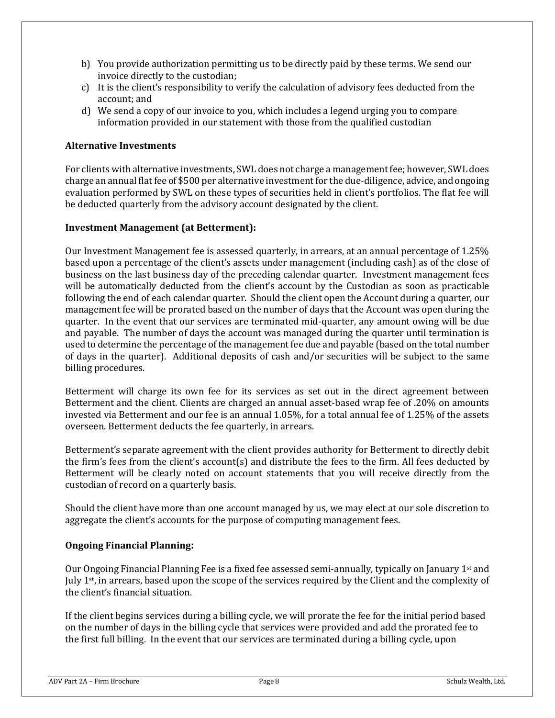- b) You provide authorization permitting us to be directly paid by these terms. We send our invoice directly to the custodian;
- c) It is the client's responsibility to verify the calculation of advisory fees deducted from the account; and
- d) We send a copy of our invoice to you, which includes a legend urging you to compare information provided in our statement with those from the qualified custodian

### **Alternative Investments**

For clients with alternative investments, SWL does not charge a management fee; however, SWL does charge an annual flat fee of \$500 per alternative investmentfor the due-diligence, advice, and ongoing evaluation performed by SWL on these types of securities held in client's portfolios. The flat fee will be deducted quarterly from the advisory account designated by the client.

### **Investment Management (at Betterment):**

Our Investment Management fee is assessed quarterly, in arrears, at an annual percentage of 1.25% based upon a percentage of the client's assets under management (including cash) as of the close of business on the last business day of the preceding calendar quarter. Investment management fees will be automatically deducted from the client's account by the Custodian as soon as practicable following the end of each calendar quarter. Should the client open the Account during a quarter, our management fee will be prorated based on the number of days that the Account was open during the quarter. In the event that our services are terminated mid-quarter, any amount owing will be due and payable. The number of days the account was managed during the quarter until termination is used to determine the percentage of the management fee due and payable (based on the total number of days in the quarter). Additional deposits of cash and/or securities will be subject to the same billing procedures.

Betterment will charge its own fee for its services as set out in the direct agreement between Betterment and the client. Clients are charged an annual asset-based wrap fee of .20% on amounts invested via Betterment and our fee is an annual 1.05%, for a total annual fee of 1.25% of the assets overseen. Betterment deducts the fee quarterly, in arrears.

Betterment's separate agreement with the client provides authority for Betterment to directly debit the firm's fees from the client's account(s) and distribute the fees to the firm. All fees deducted by Betterment will be clearly noted on account statements that you will receive directly from the custodian of record on a quarterly basis.

Should the client have more than one account managed by us, we may elect at our sole discretion to aggregate the client's accounts for the purpose of computing management fees.

#### **Ongoing Financial Planning:**

Our Ongoing Financial Planning Fee is a fixed fee assessed semi-annually, typically on January 1st and July 1st, in arrears, based upon the scope of the services required by the Client and the complexity of the client's financial situation.

If the client begins services during a billing cycle, we will prorate the fee for the initial period based on the number of days in the billing cycle that services were provided and add the prorated fee to the first full billing. In the event that our services are terminated during a billing cycle, upon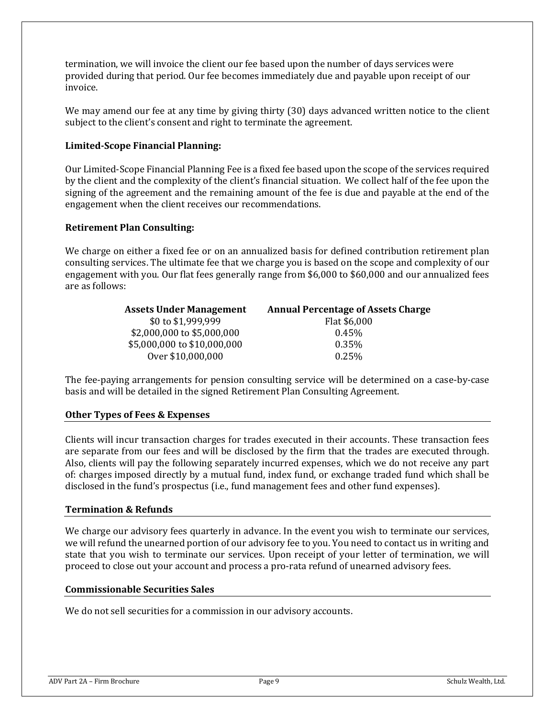termination, we will invoice the client our fee based upon the number of days services were provided during that period. Our fee becomes immediately due and payable upon receipt of our invoice.

We may amend our fee at any time by giving thirty (30) days advanced written notice to the client subject to the client's consent and right to terminate the agreement.

#### **Limited-Scope Financial Planning:**

Our Limited-Scope Financial Planning Fee is a fixed fee based upon the scope of the services required by the client and the complexity of the client's financial situation. We collect half of the fee upon the signing of the agreement and the remaining amount of the fee is due and payable at the end of the engagement when the client receives our recommendations.

### **Retirement Plan Consulting:**

We charge on either a fixed fee or on an annualized basis for defined contribution retirement plan consulting services. The ultimate fee that we charge you is based on the scope and complexity of our engagement with you. Our flat fees generally range from \$6,000 to \$60,000 and our annualized fees are as follows:

| <b>Assets Under Management</b> | <b>Annual Percentage of Assets Charge</b> |
|--------------------------------|-------------------------------------------|
| \$0 to \$1,999,999             | Flat \$6,000                              |
| \$2,000,000 to \$5,000,000     | $0.45\%$                                  |
| \$5,000,000 to \$10,000,000    | 0.35%                                     |
| Over \$10,000,000              | 0.25%                                     |

The fee-paying arrangements for pension consulting service will be determined on a case-by-case basis and will be detailed in the signed Retirement Plan Consulting Agreement.

#### **Other Types of Fees & Expenses**

Clients will incur transaction charges for trades executed in their accounts. These transaction fees are separate from our fees and will be disclosed by the firm that the trades are executed through. Also, clients will pay the following separately incurred expenses, which we do not receive any part of: charges imposed directly by a mutual fund, index fund, or exchange traded fund which shall be disclosed in the fund's prospectus (i.e., fund management fees and other fund expenses).

#### **Termination & Refunds**

We charge our advisory fees quarterly in advance. In the event you wish to terminate our services, we will refund the unearned portion of our advisory fee to you. You need to contact us in writing and state that you wish to terminate our services. Upon receipt of your letter of termination, we will proceed to close out your account and process a pro-rata refund of unearned advisory fees.

#### **Commissionable Securities Sales**

We do not sell securities for a commission in our advisory accounts.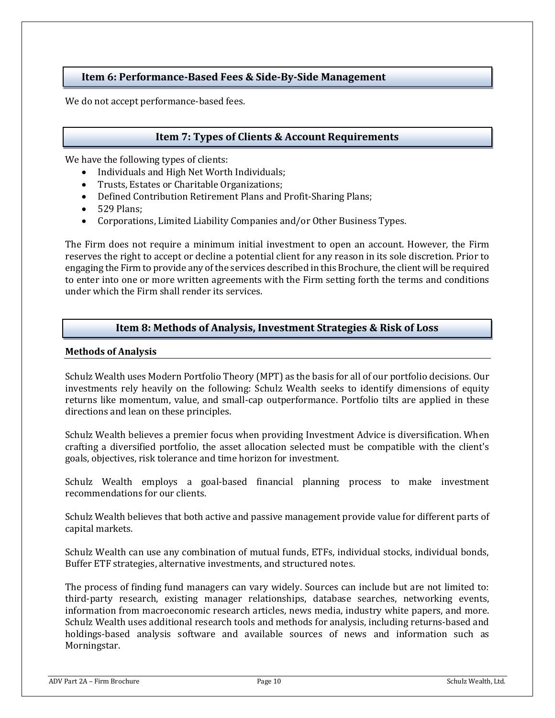# <span id="page-9-0"></span>**Item 6: Performance-Based Fees & Side-By-Side Management**

We do not accept performance-based fees.

# **Item 7: Types of Clients & Account Requirements**

<span id="page-9-1"></span>We have the following types of clients:

- Individuals and High Net Worth Individuals;
- Trusts, Estates or Charitable Organizations;
- Defined Contribution Retirement Plans and Profit-Sharing Plans;
- 529 Plans;
- Corporations, Limited Liability Companies and/or Other Business Types.

The Firm does not require a minimum initial investment to open an account. However, the Firm reserves the right to accept or decline a potential client for any reason in its sole discretion. Prior to engaging the Firm to provide any of the services described in this Brochure, the client will be required to enter into one or more written agreements with the Firm setting forth the terms and conditions under which the Firm shall render its services.

### **Item 8: Methods of Analysis, Investment Strategies & Risk of Loss**

#### <span id="page-9-2"></span>**Methods of Analysis**

Schulz Wealth uses Modern Portfolio Theory (MPT) as the basis for all of our portfolio decisions. Our investments rely heavily on the following: Schulz Wealth seeks to identify dimensions of equity returns like momentum, value, and small-cap outperformance. Portfolio tilts are applied in these directions and lean on these principles.

Schulz Wealth believes a premier focus when providing Investment Advice is diversification. When crafting a diversified portfolio, the asset allocation selected must be compatible with the client's goals, objectives, risk tolerance and time horizon for investment.

Schulz Wealth employs a goal-based financial planning process to make investment recommendations for our clients.

Schulz Wealth believes that both active and passive management provide value for different parts of capital markets.

Schulz Wealth can use any combination of mutual funds, ETFs, individual stocks, individual bonds, Buffer ETF strategies, alternative investments, and structured notes.

The process of finding fund managers can vary widely. Sources can include but are not limited to: third-party research, existing manager relationships, database searches, networking events, information from macroeconomic research articles, news media, industry white papers, and more. Schulz Wealth uses additional research tools and methods for analysis, including returns‐based and holdings-based analysis software and available sources of news and information such as Morningstar.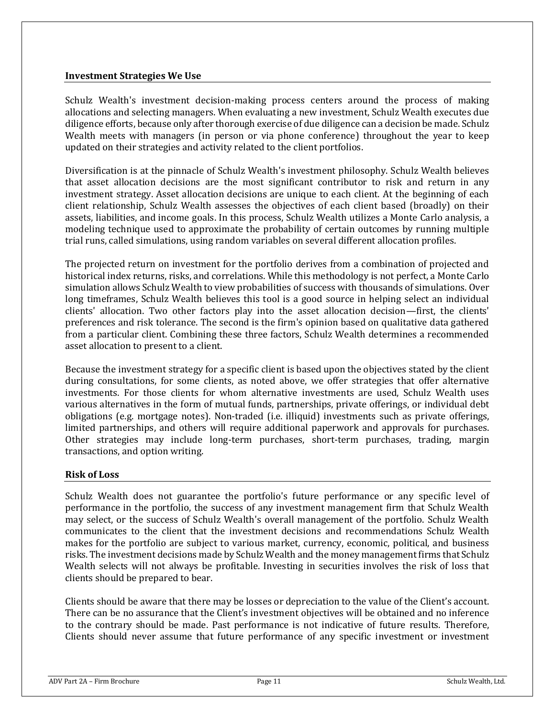#### **Investment Strategies We Use**

Schulz Wealth's investment decision-making process centers around the process of making allocations and selecting managers. When evaluating a new investment, Schulz Wealth executes due diligence efforts, because only after thorough exercise of due diligence can a decision be made. Schulz Wealth meets with managers (in person or via phone conference) throughout the year to keep updated on their strategies and activity related to the client portfolios.

Diversification is at the pinnacle of Schulz Wealth's investment philosophy. Schulz Wealth believes that asset allocation decisions are the most significant contributor to risk and return in any investment strategy. Asset allocation decisions are unique to each client. At the beginning of each client relationship, Schulz Wealth assesses the objectives of each client based (broadly) on their assets, liabilities, and income goals. In this process, Schulz Wealth utilizes a Monte Carlo analysis, a modeling technique used to approximate the probability of certain outcomes by running multiple trial runs, called simulations, using random variables on several different allocation profiles.

The projected return on investment for the portfolio derives from a combination of projected and historical index returns, risks, and correlations. While this methodology is not perfect, a Monte Carlo simulation allows Schulz Wealth to view probabilities of success with thousands of simulations. Over long timeframes, Schulz Wealth believes this tool is a good source in helping select an individual clients' allocation. Two other factors play into the asset allocation decision—first, the clients' preferences and risk tolerance. The second is the firm's opinion based on qualitative data gathered from a particular client. Combining these three factors, Schulz Wealth determines a recommended asset allocation to present to a client.

Because the investment strategy for a specific client is based upon the objectives stated by the client during consultations, for some clients, as noted above, we offer strategies that offer alternative investments. For those clients for whom alternative investments are used, Schulz Wealth uses various alternatives in the form of mutual funds, partnerships, private offerings, or individual debt obligations (e.g. mortgage notes). Non-traded (i.e. illiquid) investments such as private offerings, limited partnerships, and others will require additional paperwork and approvals for purchases. Other strategies may include long-term purchases, short-term purchases, trading, margin transactions, and option writing.

#### **Risk of Loss**

Schulz Wealth does not guarantee the portfolio's future performance or any specific level of performance in the portfolio, the success of any investment management firm that Schulz Wealth may select, or the success of Schulz Wealth's overall management of the portfolio. Schulz Wealth communicates to the client that the investment decisions and recommendations Schulz Wealth makes for the portfolio are subject to various market, currency, economic, political, and business risks. The investment decisions made by Schulz Wealth and the money management firms that Schulz Wealth selects will not always be profitable. Investing in securities involves the risk of loss that clients should be prepared to bear.

Clients should be aware that there may be losses or depreciation to the value of the Client's account. There can be no assurance that the Client's investment objectives will be obtained and no inference to the contrary should be made. Past performance is not indicative of future results. Therefore, Clients should never assume that future performance of any specific investment or investment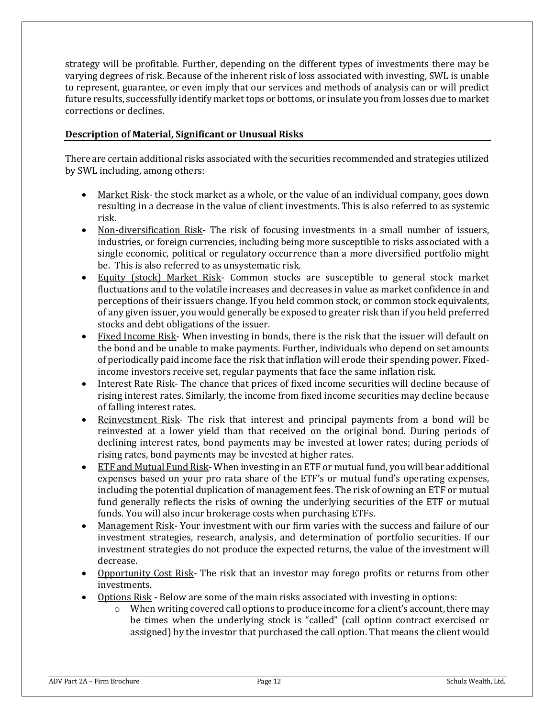strategy will be profitable. Further, depending on the different types of investments there may be varying degrees of risk. Because of the inherent risk of loss associated with investing, SWL is unable to represent, guarantee, or even imply that our services and methods of analysis can or will predict future results, successfully identify market tops or bottoms, or insulate you from losses due to market corrections or declines.

### **Description of Material, Significant or Unusual Risks**

There are certain additional risks associated with the securities recommended and strategies utilized by SWL including, among others:

- Market Risk- the stock market as a whole, or the value of an individual company, goes down resulting in a decrease in the value of client investments. This is also referred to as systemic risk.
- Non-diversification Risk- The risk of focusing investments in a small number of issuers, industries, or foreign currencies, including being more susceptible to risks associated with a single economic, political or regulatory occurrence than a more diversified portfolio might be. This is also referred to as unsystematic risk.
- Equity (stock) Market Risk- Common stocks are susceptible to general stock market fluctuations and to the volatile increases and decreases in value as market confidence in and perceptions of their issuers change. If you held common stock, or common stock equivalents, of any given issuer, you would generally be exposed to greater risk than if you held preferred stocks and debt obligations of the issuer.
- Fixed Income Risk- When investing in bonds, there is the risk that the issuer will default on the bond and be unable to make payments. Further, individuals who depend on set amounts of periodically paid income face the risk that inflation will erode their spending power. Fixedincome investors receive set, regular payments that face the same inflation risk.
- Interest Rate Risk- The chance that prices of fixed income securities will decline because of rising interest rates. Similarly, the income from fixed income securities may decline because of falling interest rates.
- Reinvestment Risk- The risk that interest and principal payments from a bond will be reinvested at a lower yield than that received on the original bond. During periods of declining interest rates, bond payments may be invested at lower rates; during periods of rising rates, bond payments may be invested at higher rates.
- ETF and Mutual Fund Risk- When investing in an ETF or mutual fund, you will bear additional expenses based on your pro rata share of the ETF's or mutual fund's operating expenses, including the potential duplication of management fees. The risk of owning an ETF or mutual fund generally reflects the risks of owning the underlying securities of the ETF or mutual funds. You will also incur brokerage costs when purchasing ETFs.
- Management Risk- Your investment with our firm varies with the success and failure of our investment strategies, research, analysis, and determination of portfolio securities. If our investment strategies do not produce the expected returns, the value of the investment will decrease.
- Opportunity Cost Risk- The risk that an investor may forego profits or returns from other investments.
- Options Risk Below are some of the main risks associated with investing in options:
	- o When writing covered call options to produce income for a client's account, there may be times when the underlying stock is "called" (call option contract exercised or assigned) by the investor that purchased the call option. That means the client would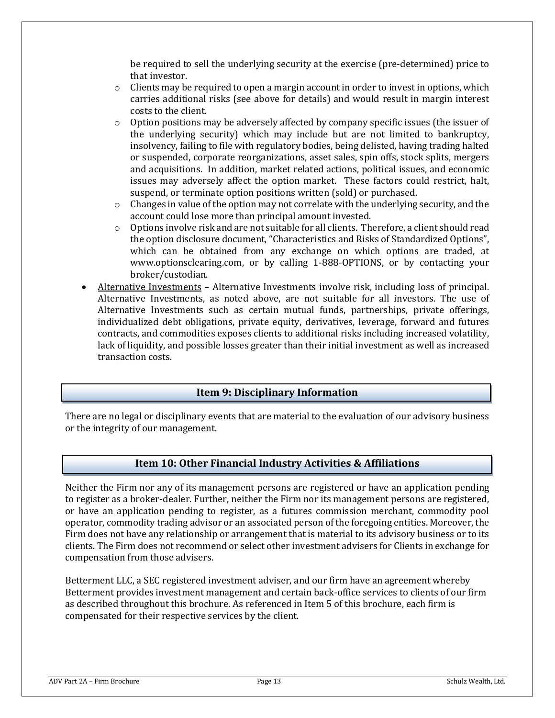be required to sell the underlying security at the exercise (pre-determined) price to that investor.

- $\circ$  Clients may be required to open a margin account in order to invest in options, which carries additional risks (see above for details) and would result in margin interest costs to the client.
- $\circ$  Option positions may be adversely affected by company specific issues (the issuer of the underlying security) which may include but are not limited to bankruptcy, insolvency, failing to file with regulatory bodies, being delisted, having trading halted or suspended, corporate reorganizations, asset sales, spin offs, stock splits, mergers and acquisitions. In addition, market related actions, political issues, and economic issues may adversely affect the option market. These factors could restrict, halt, suspend, or terminate option positions written (sold) or purchased.
- o Changes in value of the option may not correlate with the underlying security, and the account could lose more than principal amount invested.
- $\circ$  Options involve risk and are not suitable for all clients. Therefore, a client should read the option disclosure document, "Characteristics and Risks of Standardized Options", which can be obtained from any exchange on which options are traded, at [www.optionsclearing.com,](http://www.optionsclearing.com/) or by calling 1-888-OPTIONS, or by contacting your broker/custodian.
- Alternative Investments Alternative Investments involve risk, including loss of principal. Alternative Investments, as noted above, are not suitable for all investors. The use of Alternative Investments such as certain mutual funds, partnerships, private offerings, individualized debt obligations, private equity, derivatives, leverage, forward and futures contracts, and commodities exposes clients to additional risks including increased volatility, lack of liquidity, and possible losses greater than their initial investment as well as increased transaction costs.

# **Item 9: Disciplinary Information**

<span id="page-12-0"></span>There are no legal or disciplinary events that are material to the evaluation of our advisory business or the integrity of our management.

### **Item 10: Other Financial Industry Activities & Affiliations**

<span id="page-12-1"></span>Neither the Firm nor any of its management persons are registered or have an application pending to register as a broker-dealer. Further, neither the Firm nor its management persons are registered, or have an application pending to register, as a futures commission merchant, commodity pool operator, commodity trading advisor or an associated person of the foregoing entities. Moreover, the Firm does not have any relationship or arrangement that is material to its advisory business or to its clients. The Firm does not recommend or select other investment advisers for Clients in exchange for compensation from those advisers.

Betterment LLC, a SEC registered investment adviser, and our firm have an agreement whereby Betterment provides investment management and certain back-office services to clients of our firm as described throughout this brochure. As referenced in Item 5 of this brochure, each firm is compensated for their respective services by the client.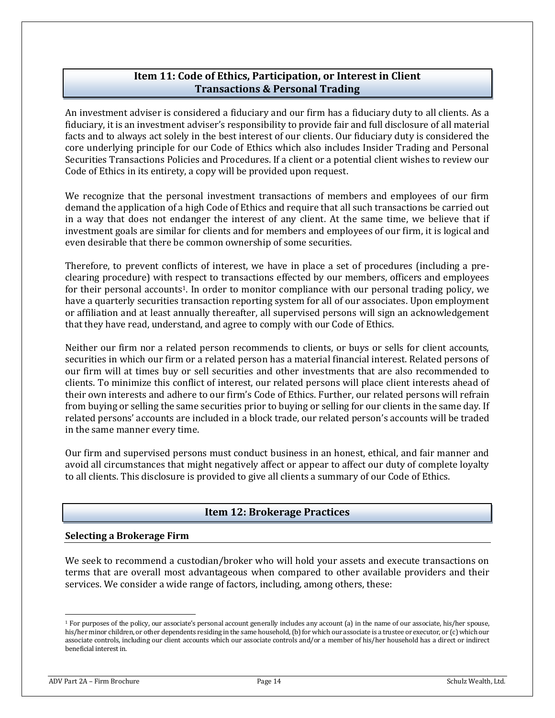# **Item 11: Code of Ethics, Participation, or Interest in Client Transactions & Personal Trading**

<span id="page-13-0"></span>An investment adviser is considered a fiduciary and our firm has a fiduciary duty to all clients. As a fiduciary, it is an investment adviser's responsibility to provide fair and full disclosure of all material facts and to always act solely in the best interest of our clients. Our fiduciary duty is considered the core underlying principle for our Code of Ethics which also includes Insider Trading and Personal Securities Transactions Policies and Procedures. If a client or a potential client wishes to review our Code of Ethics in its entirety, a copy will be provided upon request.

We recognize that the personal investment transactions of members and employees of our firm demand the application of a high Code of Ethics and require that all such transactions be carried out in a way that does not endanger the interest of any client. At the same time, we believe that if investment goals are similar for clients and for members and employees of our firm, it is logical and even desirable that there be common ownership of some securities.

Therefore, to prevent conflicts of interest, we have in place a set of procedures (including a preclearing procedure) with respect to transactions effected by our members, officers and employees for their personal accounts<sup>1</sup>. In order to monitor compliance with our personal trading policy, we have a quarterly securities transaction reporting system for all of our associates. Upon employment or affiliation and at least annually thereafter, all supervised persons will sign an acknowledgement that they have read, understand, and agree to comply with our Code of Ethics.

Neither our firm nor a related person recommends to clients, or buys or sells for client accounts, securities in which our firm or a related person has a material financial interest. Related persons of our firm will at times buy or sell securities and other investments that are also recommended to clients. To minimize this conflict of interest, our related persons will place client interests ahead of their own interests and adhere to our firm's Code of Ethics. Further, our related persons will refrain from buying or selling the same securities prior to buying or selling for our clients in the same day. If related persons' accounts are included in a block trade, our related person's accounts will be traded in the same manner every time.

Our firm and supervised persons must conduct business in an honest, ethical, and fair manner and avoid all circumstances that might negatively affect or appear to affect our duty of complete loyalty to all clients. This disclosure is provided to give all clients a summary of our Code of Ethics.

# **Item 12: Brokerage Practices**

#### <span id="page-13-1"></span>**Selecting a Brokerage Firm**

We seek to recommend a custodian/broker who will hold your assets and execute transactions on terms that are overall most advantageous when compared to other available providers and their services. We consider a wide range of factors, including, among others, these:

<sup>&</sup>lt;sup>1</sup> For purposes of the policy, our associate's personal account generally includes any account (a) in the name of our associate, his/her spouse, his/her minor children, or other dependents residing in the same household, (b) for which our associate is a trustee or executor, or (c) which our associate controls, including our client accounts which our associate controls and/or a member of his/her household has a direct or indirect beneficial interest in.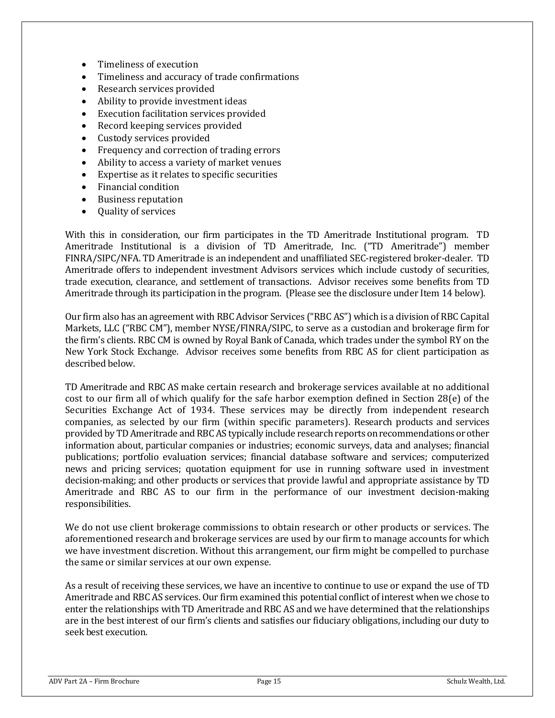- Timeliness of execution
- Timeliness and accuracy of trade confirmations
- Research services provided
- Ability to provide investment ideas
- Execution facilitation services provided
- Record keeping services provided
- Custody services provided
- Frequency and correction of trading errors
- Ability to access a variety of market venues
- Expertise as it relates to specific securities
- Financial condition
- Business reputation
- Quality of services

With this in consideration, our firm participates in the TD Ameritrade Institutional program. TD Ameritrade Institutional is a division of TD Ameritrade, Inc. ("TD Ameritrade") member FINRA/SIPC/NFA. TD Ameritrade is an independent and unaffiliated SEC-registered broker-dealer. TD Ameritrade offers to independent investment Advisors services which include custody of securities, trade execution, clearance, and settlement of transactions. Advisor receives some benefits from TD Ameritrade through its participation in the program. (Please see the disclosure under Item 14 below).

Our firm also has an agreement with RBC Advisor Services ("RBC AS") which is a division of RBC Capital Markets, LLC ("RBC CM"), member NYSE/FINRA/SIPC, to serve as a custodian and brokerage firm for the firm's clients. RBC CM is owned by Royal Bank of Canada, which trades under the symbol RY on the New York Stock Exchange. Advisor receives some benefits from RBC AS for client participation as described below.

TD Ameritrade and RBC AS make certain research and brokerage services available at no additional cost to our firm all of which qualify for the safe harbor exemption defined in Section 28(e) of the Securities Exchange Act of 1934. These services may be directly from independent research companies, as selected by our firm (within specific parameters). Research products and services provided by TD Ameritrade and RBC AS typically include research reports on recommendations or other information about, particular companies or industries; economic surveys, data and analyses; financial publications; portfolio evaluation services; financial database software and services; computerized news and pricing services; quotation equipment for use in running software used in investment decision-making; and other products or services that provide lawful and appropriate assistance by TD Ameritrade and RBC AS to our firm in the performance of our investment decision-making responsibilities.

We do not use client brokerage commissions to obtain research or other products or services. The aforementioned research and brokerage services are used by our firm to manage accounts for which we have investment discretion. Without this arrangement, our firm might be compelled to purchase the same or similar services at our own expense.

As a result of receiving these services, we have an incentive to continue to use or expand the use of TD Ameritrade and RBC AS services. Our firm examined this potential conflict of interest when we chose to enter the relationships with TD Ameritrade and RBC AS and we have determined that the relationships are in the best interest of our firm's clients and satisfies our fiduciary obligations, including our duty to seek best execution.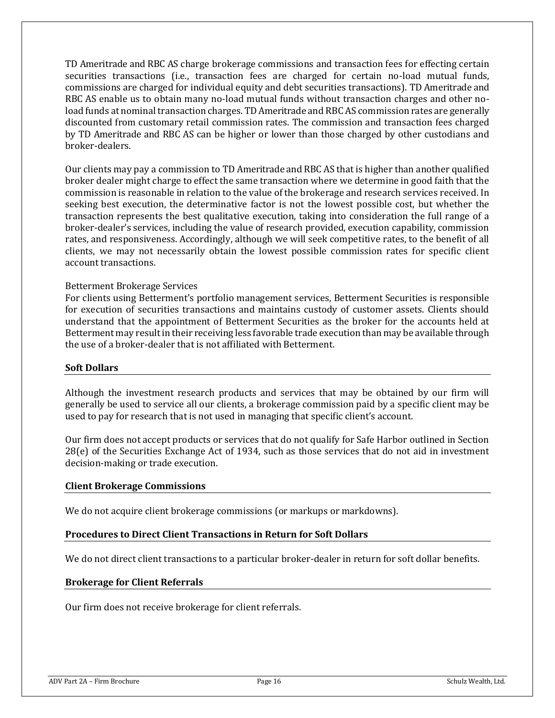TD Ameritrade and RBC AS charge brokerage commissions and transaction fees for effecting certain securities transactions (i.e., transaction fees are charged for certain no-load mutual funds, commissions are charged for individual equity and debt securities transactions). TD Ameritrade and RBC AS enable us to obtain many no-load mutual funds without transaction charges and other noload funds at nominal transaction charges. TD Ameritrade and RBC AS commission rates are generally discounted from customary retail commission rates. The commission and transaction fees charged by TD Ameritrade and RBC AS can be higher or lower than those charged by other custodians and broker-dealers.

Our clients may pay a commission to TD Ameritrade and RBC AS that is higher than another qualified broker dealer might charge to effect the same transaction where we determine in good faith that the commission is reasonable in relation to the value of the brokerage and research services received. In seeking best execution, the determinative factor is not the lowest possible cost, but whether the transaction represents the best qualitative execution, taking into consideration the full range of a broker-dealer's services, including the value of research provided, execution capability, commission rates, and responsiveness. Accordingly, although we will seek competitive rates, to the benefit of all clients, we may not necessarily obtain the lowest possible commission rates for specific client account transactions.

### Betterment Brokerage Services

For clients using Betterment's portfolio management services, Betterment Securities is responsible for execution of securities transactions and maintains custody of customer assets. Clients should understand that the appointment of Betterment Securities as the broker for the accounts held at Betterment may result in their receiving less favorable trade execution than may be available through the use of a broker-dealer that is not affiliated with Betterment.

#### **Soft Dollars**

Although the investment research products and services that may be obtained by our firm will generally be used to service all our clients, a brokerage commission paid by a specific client may be used to pay for research that is not used in managing that specific client's account.

Our firm does not accept products or services that do not qualify for Safe Harbor outlined in Section 28(e) of the Securities Exchange Act of 1934, such as those services that do not aid in investment decision-making or trade execution.

#### **Client Brokerage Commissions**

We do not acquire client brokerage commissions (or markups or markdowns).

#### **Procedures to Direct Client Transactions in Return for Soft Dollars**

We do not direct client transactions to a particular broker-dealer in return for soft dollar benefits.

#### **Brokerage for Client Referrals**

Our firm does not receive brokerage for client referrals.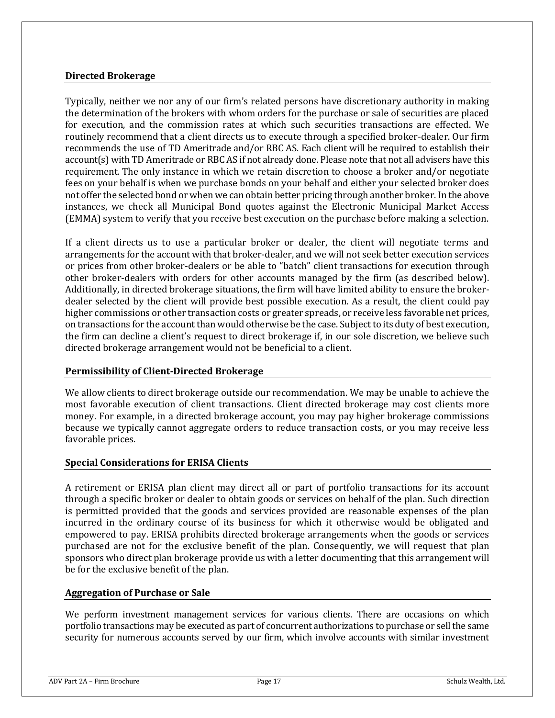### **Directed Brokerage**

Typically, neither we nor any of our firm's related persons have discretionary authority in making the determination of the brokers with whom orders for the purchase or sale of securities are placed for execution, and the commission rates at which such securities transactions are effected. We routinely recommend that a client directs us to execute through a specified broker-dealer. Our firm recommends the use of TD Ameritrade and/or RBC AS. Each client will be required to establish their account(s) with TD Ameritrade or RBC AS if not already done. Please note that not all advisers have this requirement. The only instance in which we retain discretion to choose a broker and/or negotiate fees on your behalf is when we purchase bonds on your behalf and either your selected broker does not offer the selected bond or when we can obtain better pricing through another broker. In the above instances, we check all Municipal Bond quotes against the Electronic Municipal Market Access (EMMA) system to verify that you receive best execution on the purchase before making a selection.

If a client directs us to use a particular broker or dealer, the client will negotiate terms and arrangements for the account with that broker-dealer, and we will not seek better execution services or prices from other broker-dealers or be able to "batch" client transactions for execution through other broker-dealers with orders for other accounts managed by the firm (as described below). Additionally, in directed brokerage situations, the firm will have limited ability to ensure the brokerdealer selected by the client will provide best possible execution. As a result, the client could pay higher commissions or other transaction costs or greater spreads, or receive less favorable net prices, on transactions for the account than would otherwise be the case. Subject to its duty of best execution, the firm can decline a client's request to direct brokerage if, in our sole discretion, we believe such directed brokerage arrangement would not be beneficial to a client.

#### **Permissibility of Client-Directed Brokerage**

We allow clients to direct brokerage outside our recommendation. We may be unable to achieve the most favorable execution of client transactions. Client directed brokerage may cost clients more money. For example, in a directed brokerage account, you may pay higher brokerage commissions because we typically cannot aggregate orders to reduce transaction costs, or you may receive less favorable prices.

### **Special Considerations for ERISA Clients**

A retirement or ERISA plan client may direct all or part of portfolio transactions for its account through a specific broker or dealer to obtain goods or services on behalf of the plan. Such direction is permitted provided that the goods and services provided are reasonable expenses of the plan incurred in the ordinary course of its business for which it otherwise would be obligated and empowered to pay. ERISA prohibits directed brokerage arrangements when the goods or services purchased are not for the exclusive benefit of the plan. Consequently, we will request that plan sponsors who direct plan brokerage provide us with a letter documenting that this arrangement will be for the exclusive benefit of the plan.

#### **Aggregation of Purchase or Sale**

We perform investment management services for various clients. There are occasions on which portfolio transactions may be executed as part of concurrent authorizations to purchase or sell the same security for numerous accounts served by our firm, which involve accounts with similar investment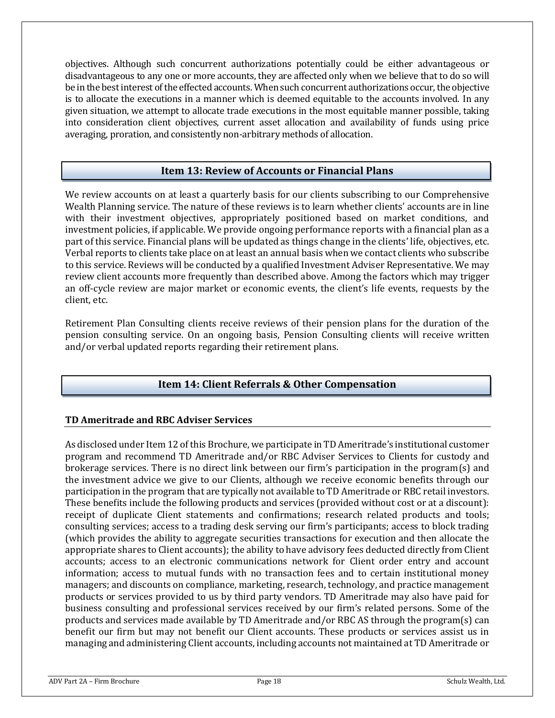objectives. Although such concurrent authorizations potentially could be either advantageous or disadvantageous to any one or more accounts, they are affected only when we believe that to do so will be in the best interest of the effected accounts. When such concurrent authorizations occur, the objective is to allocate the executions in a manner which is deemed equitable to the accounts involved. In any given situation, we attempt to allocate trade executions in the most equitable manner possible, taking into consideration client objectives, current asset allocation and availability of funds using price averaging, proration, and consistently non-arbitrary methods of allocation.

# **Item 13: Review of Accounts or Financial Plans**

<span id="page-17-0"></span>We review accounts on at least a quarterly basis for our clients subscribing to our Comprehensive Wealth Planning service. The nature of these reviews is to learn whether clients' accounts are in line with their investment objectives, appropriately positioned based on market conditions, and investment policies, if applicable. We provide ongoing performance reports with a financial plan as a part of this service. Financial plans will be updated as things change in the clients' life, objectives, etc. Verbal reports to clients take place on at least an annual basis when we contact clients who subscribe to this service. Reviews will be conducted by a qualified Investment Adviser Representative. We may review client accounts more frequently than described above. Among the factors which may trigger an off-cycle review are major market or economic events, the client's life events, requests by the client, etc.

Retirement Plan Consulting clients receive reviews of their pension plans for the duration of the pension consulting service. On an ongoing basis, Pension Consulting clients will receive written and/or verbal updated reports regarding their retirement plans.

# **Item 14: Client Referrals & Other Compensation**

### <span id="page-17-1"></span>**TD Ameritrade and RBC Adviser Services**

As disclosed under Item 12 of this Brochure, we participate in TD Ameritrade's institutional customer program and recommend TD Ameritrade and/or RBC Adviser Services to Clients for custody and brokerage services. There is no direct link between our firm's participation in the program(s) and the investment advice we give to our Clients, although we receive economic benefits through our participation in the program that are typically not available to TD Ameritrade or RBC retail investors. These benefits include the following products and services (provided without cost or at a discount): receipt of duplicate Client statements and confirmations; research related products and tools; consulting services; access to a trading desk serving our firm's participants; access to block trading (which provides the ability to aggregate securities transactions for execution and then allocate the appropriate shares to Client accounts); the ability to have advisory fees deducted directly from Client accounts; access to an electronic communications network for Client order entry and account information; access to mutual funds with no transaction fees and to certain institutional money managers; and discounts on compliance, marketing, research, technology, and practice management products or services provided to us by third party vendors. TD Ameritrade may also have paid for business consulting and professional services received by our firm's related persons. Some of the products and services made available by TD Ameritrade and/or RBC AS through the program(s) can benefit our firm but may not benefit our Client accounts. These products or services assist us in managing and administering Client accounts, including accounts not maintained at TD Ameritrade or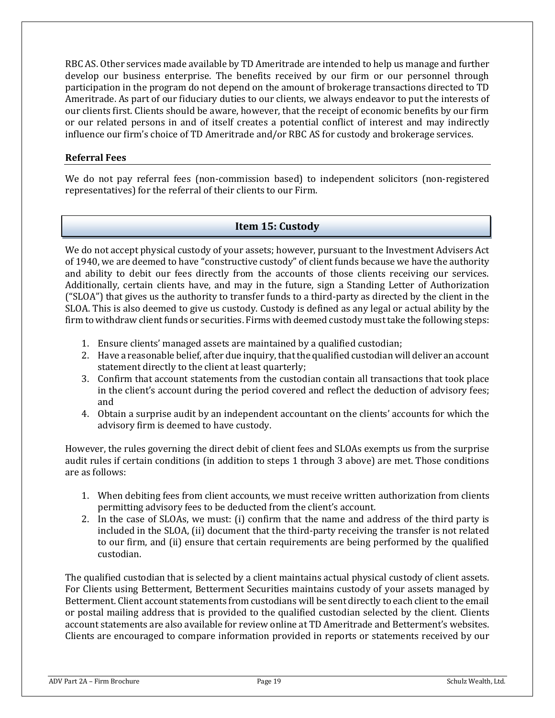RBC AS. Other services made available by TD Ameritrade are intended to help us manage and further develop our business enterprise. The benefits received by our firm or our personnel through participation in the program do not depend on the amount of brokerage transactions directed to TD Ameritrade. As part of our fiduciary duties to our clients, we always endeavor to put the interests of our clients first. Clients should be aware, however, that the receipt of economic benefits by our firm or our related persons in and of itself creates a potential conflict of interest and may indirectly influence our firm's choice of TD Ameritrade and/or RBC AS for custody and brokerage services.

### **Referral Fees**

We do not pay referral fees (non-commission based) to independent solicitors (non-registered representatives) for the referral of their clients to our Firm.

# **Item 15: Custody**

<span id="page-18-0"></span>We do not accept physical custody of your assets; however, pursuant to the Investment Advisers Act of 1940, we are deemed to have "constructive custody" of client funds because we have the authority and ability to debit our fees directly from the accounts of those clients receiving our services. Additionally, certain clients have, and may in the future, sign a Standing Letter of Authorization ("SLOA") that gives us the authority to transfer funds to a third-party as directed by the client in the SLOA. This is also deemed to give us custody. Custody is defined as any legal or actual ability by the firm to withdraw client funds or securities. Firms with deemed custody must take the following steps:

- 1. Ensure clients' managed assets are maintained by a qualified custodian;
- 2. Have a reasonable belief, after due inquiry, that the qualified custodian will deliver an account statement directly to the client at least quarterly;
- 3. Confirm that account statements from the custodian contain all transactions that took place in the client's account during the period covered and reflect the deduction of advisory fees; and
- 4. Obtain a surprise audit by an independent accountant on the clients' accounts for which the advisory firm is deemed to have custody.

However, the rules governing the direct debit of client fees and SLOAs exempts us from the surprise audit rules if certain conditions (in addition to steps 1 through 3 above) are met. Those conditions are as follows:

- 1. When debiting fees from client accounts, we must receive written authorization from clients permitting advisory fees to be deducted from the client's account.
- 2. In the case of SLOAs, we must: (i) confirm that the name and address of the third party is included in the SLOA, (ii) document that the third-party receiving the transfer is not related to our firm, and (ii) ensure that certain requirements are being performed by the qualified custodian.

The qualified custodian that is selected by a client maintains actual physical custody of client assets. For Clients using Betterment, Betterment Securities maintains custody of your assets managed by Betterment. Client account statements from custodians will be sent directly to each client to the email or postal mailing address that is provided to the qualified custodian selected by the client. Clients account statements are also available for review online at TD Ameritrade and Betterment's websites. Clients are encouraged to compare information provided in reports or statements received by our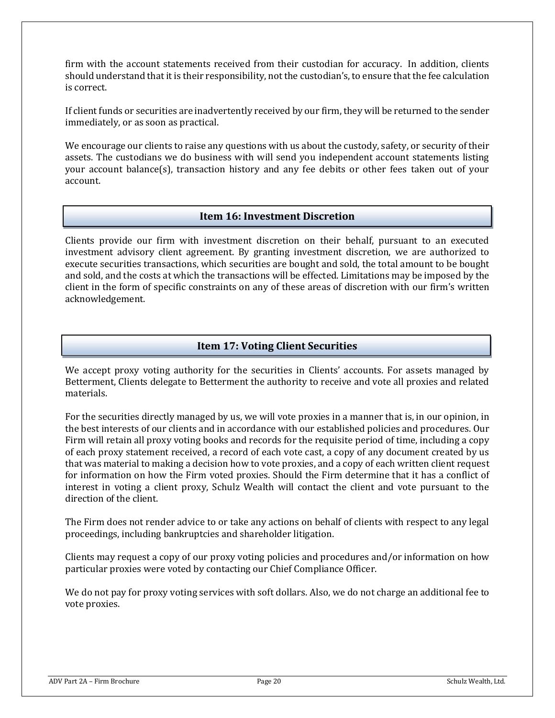firm with the account statements received from their custodian for accuracy. In addition, clients should understand that it is their responsibility, not the custodian's, to ensure that the fee calculation is correct.

If client funds or securities are inadvertently received by our firm, they will be returned to the sender immediately, or as soon as practical.

We encourage our clients to raise any questions with us about the custody, safety, or security of their assets. The custodians we do business with will send you independent account statements listing your account balance(s), transaction history and any fee debits or other fees taken out of your account.

# **Item 16: Investment Discretion**

<span id="page-19-0"></span>Clients provide our firm with investment discretion on their behalf, pursuant to an executed investment advisory client agreement. By granting investment discretion, we are authorized to execute securities transactions, which securities are bought and sold, the total amount to be bought and sold, and the costs at which the transactions will be effected. Limitations may be imposed by the client in the form of specific constraints on any of these areas of discretion with our firm's written acknowledgement.

# **Item 17: Voting Client Securities**

<span id="page-19-1"></span>We accept proxy voting authority for the securities in Clients' accounts. For assets managed by Betterment, Clients delegate to Betterment the authority to receive and vote all proxies and related materials.

For the securities directly managed by us, we will vote proxies in a manner that is, in our opinion, in the best interests of our clients and in accordance with our established policies and procedures. Our Firm will retain all proxy voting books and records for the requisite period of time, including a copy of each proxy statement received, a record of each vote cast, a copy of any document created by us that was material to making a decision how to vote proxies, and a copy of each written client request for information on how the Firm voted proxies. Should the Firm determine that it has a conflict of interest in voting a client proxy, Schulz Wealth will contact the client and vote pursuant to the direction of the client.

The Firm does not render advice to or take any actions on behalf of clients with respect to any legal proceedings, including bankruptcies and shareholder litigation.

Clients may request a copy of our proxy voting policies and procedures and/or information on how particular proxies were voted by contacting our Chief Compliance Officer.

We do not pay for proxy voting services with soft dollars. Also, we do not charge an additional fee to vote proxies.